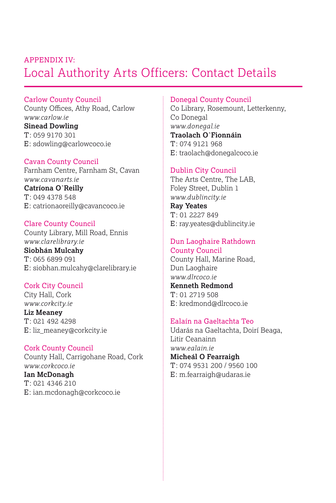# Local Authority Arts Officers: Contact Details APPENDIX IV:

### Carlow County Council

County Offices, Athy Road, Carlow *www.carlow.ie* **Sinead Dowling** T: 059 9170 301 E: sdowling@carlowcoco.ie

### Cavan County Council

Farnham Centre, Farnham St, Cavan *www.cavanarts.ie* **Catríona O`Reilly** T: 049 4378 548 E: catrionaoreilly@cavancoco.ie

Clare County Council County Library, Mill Road, Ennis *www.clarelibrary.ie* **Siobhán Mulcahy** T: 065 6899 091 E: siobhan.mulcahy@clarelibrary.ie

### Cork City Council City Hall, Cork

*www.corkcity.ie* **Liz Meaney** T: 021 492 4298 E: liz\_meaney@corkcity.ie

Cork County Council County Hall, Carrigohane Road, Cork *www.corkcoco.ie* **Ian McDonagh** T: 021 4346 210 E: ian.mcdonagh@corkcoco.ie

### Donegal County Council

Co Library, Rosemount, Letterkenny, Co Donegal *www.donegal.ie* **Traolach O`Fionnáin** T: 074 9121 968 E: traolach@donegalcoco.ie

### Dublin City Council

The Arts Centre, The LAB, Foley Street, Dublin 1 *www.dublincity.ie* **Ray Yeates**

 $T: 012227849$ E: ray.yeates@dublincity.ie

## Dun Laoghaire Rathdown

County Council County Hall, Marine Road, Dun Laoghaire *www.dlrcoco.ie* **Kenneth Redmond** T: 01 2719 508 E: kredmond@dlrcoco.ie

### Ealaín na Gaeltachta Teo

Udarás na Gaeltachta, Doirí Beaga, Litir Ceanainn *www.ealain.ie* **Micheál O Fearraigh** T: 074 9531 200 / 9560 100 E: m.fearraigh@udaras.ie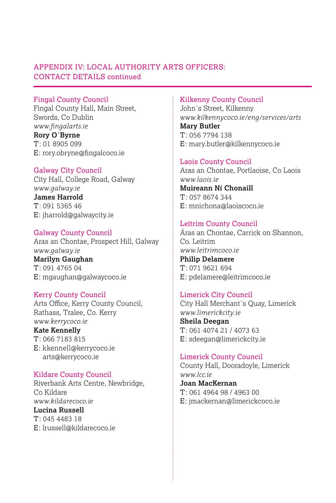### APPENDIX IV: LOCAL AUTHORITY ARTS OFFICERS: CONTACT DETAILS continued

### Fingal County Council

Fingal County Hall, Main Street, Swords, Co Dublin *www.fingalarts.ie* **Rory O`Byrne** T: 01 8905 099 E: rory.obryne@fingalcoco.ie

### Galway City Council

City Hall, College Road, Galway *www.galway.ie* **James Harrold** T: 091 5365 46 E: jharrold@galwaycity.ie

Galway County Council Aras an Chontae, Prospect Hill, Galway *www.galway.ie* **Marilyn Gaughan** T: 091 4765 04 E: mgaughan@galwaycoco.ie

### Kerry County Council

Arts Office, Kerry County Council, Rathass, Tralee, Co. Kerry *www.kerrycoco.ie*

**Kate Kennelly**

T: 066 7183 815 E: kkennell@kerrycoco.ie arts@kerrycoco.ie

Kildare County Council Riverbank Arts Centre, Newbridge, Co Kildare *www.kildarecoco.ie* **Lucina Russell** T: 045 4483 18 E: lrussell@kildarecoco.ie

### Kilkenny County Council

John`s Street, Kilkenny *www.kilkennycoco.ie/eng/services/arts* **Mary Butler** T: 056 7794 138 E: mary.butler@kilkennycoco.ie

### Laois County Council

Aras an Chontae, Portlaoise, Co Laois *www.laois.ie* **Muireann Ní Chonaill** T: 057 8674 344 E: mnichona@laoiscoco.ie

### Leitrim County Council

Áras an Chontae, Carrick on Shannon, Co. Leitrim *www.leitrimcoco.ie* **Philip Delamere** T: 071 9621 694 E: pdelamere@leitrimcoco.ie

### Limerick City Council

City Hall Merchant`s Quay, Limerick *www.limerickcity.ie* **Sheila Deegan** T: 061 4074 21 / 4073 63 E: sdeegan@limerickcity.ie

Limerick County Council County Hall, Dooradoyle, Limerick *www.lcc.ie* **Joan MacKernan** T: 061 4964 98 / 4963 00 E: jmackernan@limerickcoco.ie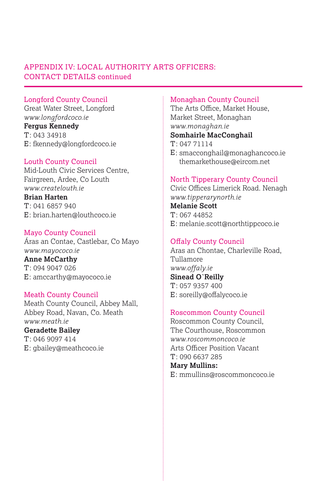### APPENDIX IV: LOCAL AUTHORITY ARTS OFFICERS: CONTACT DETAILS continued

### Longford County Council

Great Water Street, Longford *www.longfordcoco.ie* **Fergus Kennedy** T: 043 34918 E: fkennedy@longfordcoco.ie

### Louth County Council

Mid-Louth Civic Services Centre, Fairgreen, Ardee, Co Louth *www.createlouth.ie* **Brian Harten**

T: 041 6857 940 E: brian.harten@louthcoco.ie

### Mayo County Council

Áras an Contae, Castlebar, Co Mayo *www.mayococo.ie* **Anne McCarthy** T: 094 9047 026

# E: amccarthy@mayococo.ie

### Meath County Council

Meath County Council, Abbey Mall, Abbey Road, Navan, Co. Meath *www.meath.ie*

### **Geradette Bailey**

T: 046 9097 414 E: gbailey@meathcoco.ie

### Monaghan County Council

The Arts Office, Market House, Market Street, Monaghan *www.monaghan.ie* 

### **Somhairle MacConghail**

T: 047 71114

E: smacconghail@monaghancoco.ie themarkethouse@eircom.net

### North Tipperary County Council

Civic Offices Limerick Road. Nenagh *www.tipperarynorth.ie*  **Melanie Scott**

 $T: 06744852$ E: melanie.scott@northtippcoco.ie

### Offaly County Council

Aras an Chontae, Charleville Road, Tullamore *www.offaly.ie* **Sinead O`Reilly**  $T: 0579357400$ E: soreilly@offalycoco.ie

### Roscommon County Council

Roscommon County Council, The Courthouse, Roscommon *www.roscommoncoco.ie* Arts Officer Position Vacant T: 090 6637 285

### **Mary Mullins:**

E: mmullins@roscommoncoco.ie